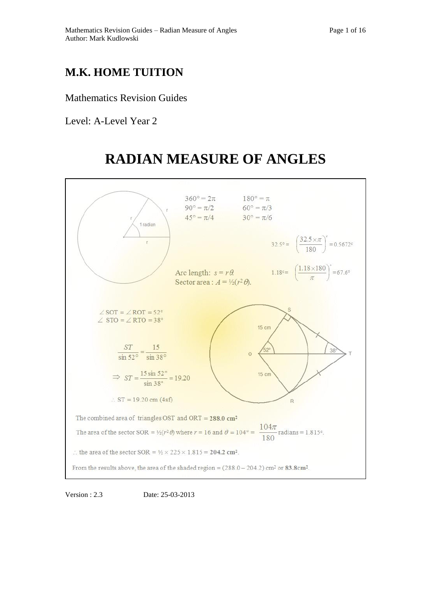# **M.K. HOME TUITION**

Mathematics Revision Guides

Level: A-Level Year 2

# **RADIAN MEASURE OF ANGLES**



Version : 2.3 Date: 25-03-2013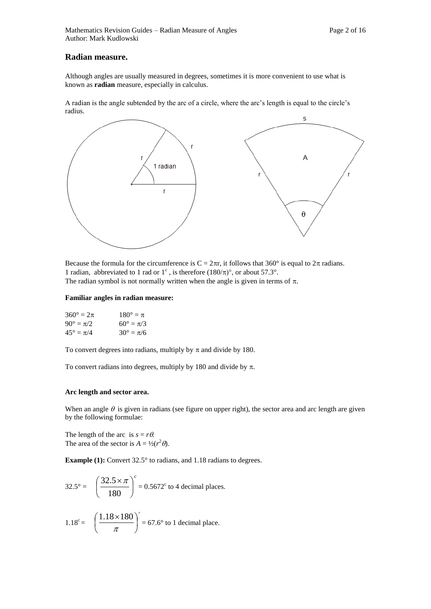# **Radian measure.**

Although angles are usually measured in degrees, sometimes it is more convenient to use what is known as **radian** measure, especially in calculus.

A radian is the angle subtended by the arc of a circle, where the arc's length is equal to the circle's radius.



Because the formula for the circumference is  $C = 2\pi r$ , it follows that 360° is equal to  $2\pi$  radians. 1 radian, abbreviated to 1 rad or  $1^{\circ}$ , is therefore  $(180/\pi)^{\circ}$ , or about 57.3°. The radian symbol is not normally written when the angle is given in terms of  $\pi$ .

# **Familiar angles in radian measure:**

| $360^{\circ} = 2\pi$ | $180^{\circ} = \pi$  |
|----------------------|----------------------|
| $90^{\circ} = \pi/2$ | $60^{\circ} = \pi/3$ |
| $45^{\circ} = \pi/4$ | $30^{\circ} = \pi/6$ |

To convert degrees into radians, multiply by  $\pi$  and divide by 180.

To convert radians into degrees, multiply by 180 and divide by  $\pi$ .

# **Arc length and sector area.**

When an angle  $\theta$  is given in radians (see figure on upper right), the sector area and arc length are given by the following formulae:

The length of the arc is  $s = r\theta$ . The area of the sector is  $A = \frac{1}{2}(r^2 \theta)$ .

**Example (1):** Convert 32.5° to radians, and 1.18 radians to degrees.

$$
32.5^{\circ} = \left(\frac{32.5 \times \pi}{180}\right)^{c} = 0.5672^{c} \text{ to 4 decimal places.}
$$
  

$$
1.18^{c} = \left(\frac{1.18 \times 180}{\pi}\right)^{c} = 67.6^{\circ} \text{ to 1 decimal place.}
$$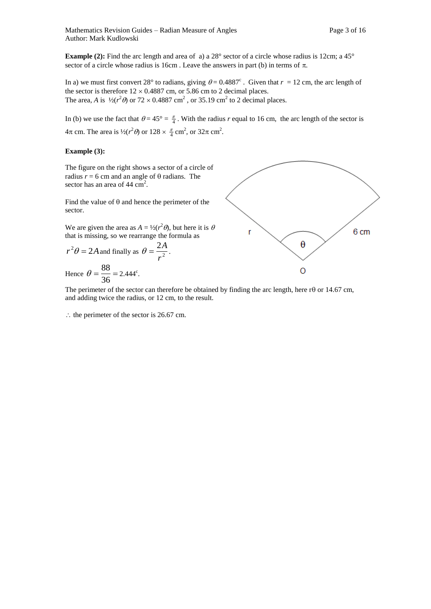In a) we must first convert 28° to radians, giving  $\theta = 0.4887$ °. Given that  $r = 12$  cm, the arc length of the sector is therefore  $12 \times 0.4887$  cm, or 5.86 cm to 2 decimal places. The area, *A* is  $\frac{1}{2}(r^2\theta)$  or  $72 \times 0.4887$  cm<sup>2</sup>, or 35.19 cm<sup>2</sup> to 2 decimal places.

In (b) we use the fact that  $\theta = 45^{\circ} = \frac{\pi}{4}$ . With the radius *r* equal to 16 cm, the arc length of the sector is  $4\pi$  cm. The area is  $\frac{1}{2}(r^2\theta)$  or  $128 \times \frac{\pi}{4}$  cm<sup>2</sup>, or  $32\pi$  cm<sup>2</sup>.

# **Example (3):**

The figure on the right shows a sector of a circle of radius  $r = 6$  cm and an angle of  $\theta$  radians. The sector has an area of 44 cm<sup>2</sup>.

Find the value of  $\theta$  and hence the perimeter of the sector.

We are given the area as  $A = \frac{1}{2}(r^2 \theta)$ , but here it is  $\theta$ that is missing, so we rearrange the formula as

$$
r^2 \theta = 2A
$$
 and finally as  $\theta = \frac{2A}{r^2}$ .

Hence 
$$
\theta = \frac{88}{36} = 2.444^{\circ}
$$
.



The perimeter of the sector can therefore be obtained by finding the arc length, here r $\theta$  or 14.67 cm, and adding twice the radius, or 12 cm, to the result.

 $\therefore$  the perimeter of the sector is 26.67 cm.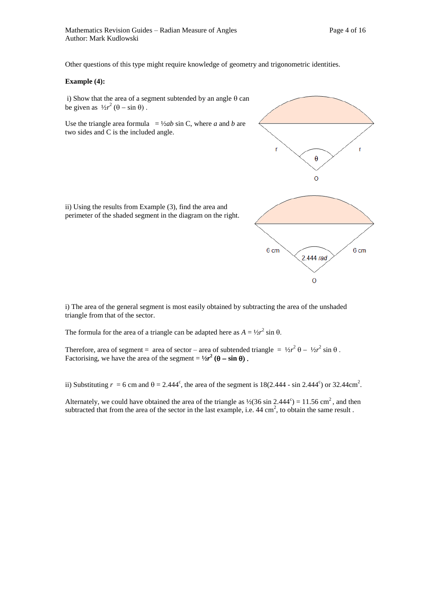Other questions of this type might require knowledge of geometry and trigonometric identities.

#### **Example (4):**

i) Show that the area of a segment subtended by an angle  $\theta$  can be given as  $\frac{1}{2}r^2(\theta - \sin \theta)$ .

Use the triangle area formula  $= \frac{1}{2ab} \sin C$ , where *a* and *b* are two sides and C is the included angle.

ii) Using the results from Example (3), find the area and perimeter of the shaded segment in the diagram on the right.



i) The area of the general segment is most easily obtained by subtracting the area of the unshaded

triangle from that of the sector.

The formula for the area of a triangle can be adapted here as  $A = \frac{1}{2}r^2 \sin \theta$ .

Therefore, area of segment = area of sector – area of subtended triangle =  $\frac{1}{2}r^2 \theta - \frac{1}{2}r^2 \sin \theta$ . Factorising, we have the area of the segment =  $\frac{1}{2}r^2$  ( $\theta$  – sin  $\theta$ ).

ii) Substituting  $r = 6$  cm and  $\theta = 2.444^{\circ}$ , the area of the segment is 18(2.444 - sin 2.444<sup>c</sup>) or 32.44cm<sup>2</sup>.

Alternately, we could have obtained the area of the triangle as  $\frac{1}{2}(36 \sin 2.444^{\circ}) = 11.56 \text{ cm}^2$ , and then subtracted that from the area of the sector in the last example, i.e.  $44 \text{ cm}^2$ , to obtain the same result.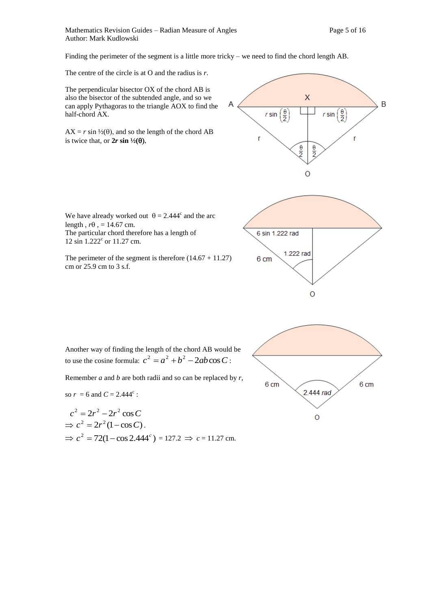Mathematics Revision Guides – Radian Measure of Angles Page 5 of 16 Author: Mark Kudlowski

Finding the perimeter of the segment is a little more tricky – we need to find the chord length AB.

The centre of the circle is at O and the radius is *r*.

The perpendicular bisector OX of the chord AB is also the bisector of the subtended angle, and so we can apply Pythagoras to the triangle AOX to find the half-chord AX.

 $AX = r \sin \frac{1}{2}(\theta)$ , and so the length of the chord AB is twice that, or  $2r \sin \frac{1}{2}(\theta)$ .

We have already worked out  $\theta = 2.444^{\circ}$  and the arc

The perimeter of the segment is therefore  $(14.67 + 11.27)$ 

The particular chord therefore has a length of







Another way of finding the length of the chord AB would be to use the cosine formula:  $c^2 = a^2 + b^2 - 2ab\cos C$ :

Remember *a* and *b* are both radii and so can be replaced by *r*,

so  $r = 6$  and  $C = 2.444^c$ :

length,  $r\theta$ , = 14.67 cm.

12 sin 1.222° or 11.27 cm.

cm or 25.9 cm to 3 s.f.

$$
c^{2} = 2r^{2} - 2r^{2} \cos C
$$
  
\n
$$
\Rightarrow c^{2} = 2r^{2} (1 - \cos C).
$$
  
\n
$$
\Rightarrow c^{2} = 72(1 - \cos 2.444c^{c}) = 127.2 \Rightarrow c = 11.27 \text{ cm}.
$$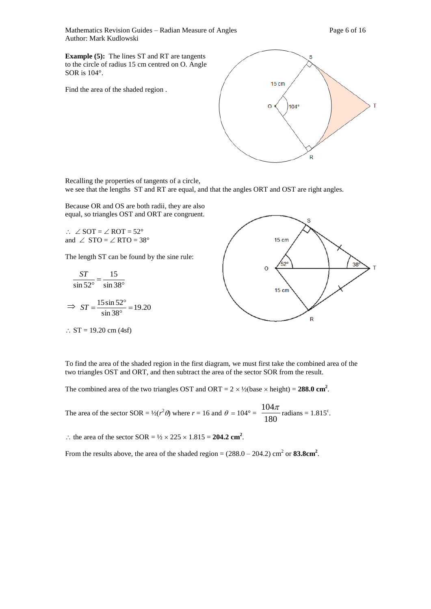Mathematics Revision Guides – Radian Measure of Angles Page 6 of 16 Author: Mark Kudlowski

**Example (5):** The lines ST and RT are tangents to the circle of radius 15 cm centred on O. Angle SOR is 104°.

Find the area of the shaded region .



Recalling the properties of tangents of a circle, we see that the lengths ST and RT are equal, and that the angles ORT and OST are right angles.

Because OR and OS are both radii, they are also equal, so triangles OST and ORT are congruent.

 $\therefore$   $\angle$  SOT =  $\angle$  ROT = 52° and  $\angle$  STO =  $\angle$  RTO = 38°

The length ST can be found by the sine rule:

$$
\frac{ST}{\sin 52^\circ} = \frac{15}{\sin 38^\circ}
$$
  
\n
$$
\Rightarrow ST = \frac{15 \sin 52^\circ}{\sin 38^\circ} = 19.20
$$

 $\therefore$  ST = 19.20 cm (4sf)



To find the area of the shaded region in the first diagram, we must first take the combined area of the two triangles OST and ORT, and then subtract the area of the sector SOR from the result.

The combined area of the two triangles OST and ORT =  $2 \times \frac{1}{2}$  (base  $\times$  height) = **288.0** cm<sup>2</sup>.

The area of the sector SOR =  $\frac{1}{2}(r^2 \theta)$  where  $r = 16$  and  $\theta = 104^\circ = \frac{1647}{180}$  $\frac{104\pi}{100}$  radians = 1.815°.

: the area of the sector  $SOR = \frac{1}{2} \times 225 \times 1.815 = 204.2$  cm<sup>2</sup>.

From the results above, the area of the shaded region =  $(288.0 - 204.2)$  cm<sup>2</sup> or **83.8cm<sup>2</sup>**.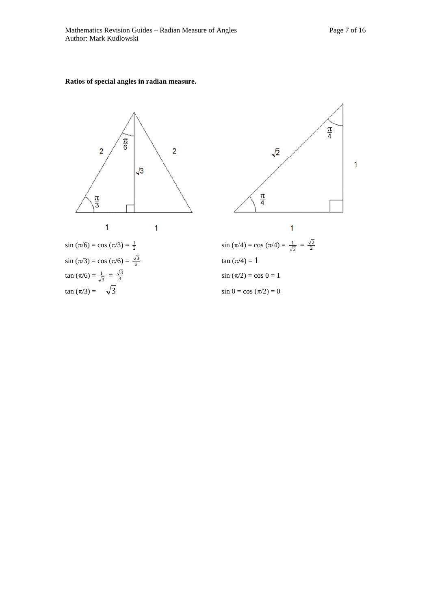**Ratios of special angles in radian measure.** 



$$
\sin (\pi/6) = \cos (\pi/3) = \frac{1}{2}
$$
  
\n
$$
\sin (\pi/3) = \cos (\pi/6) = \frac{\sqrt{3}}{2}
$$
  
\n
$$
\tan (\pi/6) = \frac{1}{\sqrt{3}} = \frac{\sqrt{3}}{3}
$$
  
\n
$$
\tan (\pi/3) = \sqrt{3}
$$

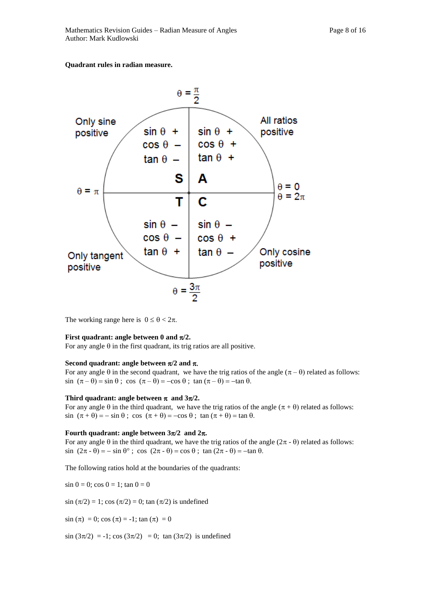# **Quadrant rules in radian measure.**



The working range here is  $0 \le \theta < 2\pi$ .

## **First quadrant: angle between 0 and**  $\pi/2$ **.**

For any angle  $\theta$  in the first quadrant, its trig ratios are all positive.

#### **Second quadrant: angle between**  $\pi/2$  **and**  $\pi$ **.**

For any angle  $\theta$  in the second quadrant, we have the trig ratios of the angle  $(\pi - \theta)$  related as follows:  $\sin (\pi - \theta) = \sin \theta$ ;  $\cos (\pi - \theta) = -\cos \theta$ ;  $\tan (\pi - \theta) = -\tan \theta$ .

#### Third quadrant: angle between  $\pi$  and  $3\pi/2$ .

For any angle  $\theta$  in the third quadrant, we have the trig ratios of the angle  $(\pi + \theta)$  related as follows:  $\sin (\pi + \theta) = -\sin \theta$ ;  $\cos (\pi + \theta) = -\cos \theta$ ;  $\tan (\pi + \theta) = \tan \theta$ .

# **Fourth quadrant: angle between**  $3\pi/2$  **and**  $2\pi$ **.**

For any angle  $\theta$  in the third quadrant, we have the trig ratios of the angle  $(2\pi - \theta)$  related as follows:  $\sin (2\pi - \theta) = -\sin \theta^{\circ}$ ;  $\cos (2\pi - \theta) = \cos \theta$ ;  $\tan (2\pi - \theta) = -\tan \theta$ .

The following ratios hold at the boundaries of the quadrants:

 $\sin 0 = 0$ ;  $\cos 0 = 1$ ;  $\tan 0 = 0$ 

 $sin (\pi/2) = 1$ ; cos ( $\pi/2$ ) = 0; tan ( $\pi/2$ ) is undefined

 $sin (\pi) = 0$ ; cos  $(\pi) = -1$ ; tan  $(\pi) = 0$ 

 $\sin (3\pi/2) = -1$ ;  $\cos (3\pi/2) = 0$ ;  $\tan (3\pi/2)$  is undefined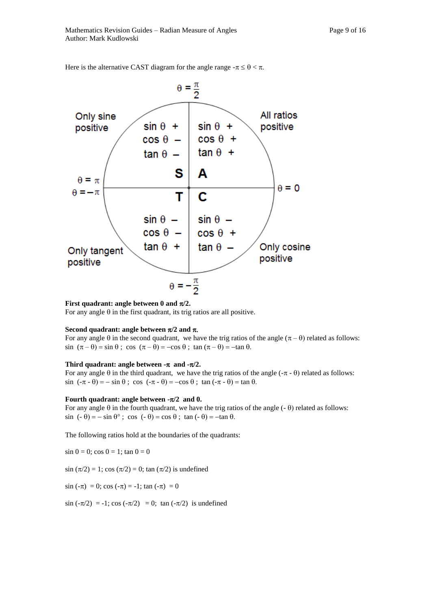

Here is the alternative CAST diagram for the angle range  $-\pi \le \theta < \pi$ .

**First quadrant: angle between 0 and**  $\pi/2$ **.** 

For any angle  $\theta$  in the first quadrant, its trig ratios are all positive.

#### **Second quadrant: angle between**  $\pi/2$  **and**  $\pi$ **.**

For any angle  $\theta$  in the second quadrant, we have the trig ratios of the angle  $(\pi - \theta)$  related as follows:  $\sin (\pi - \theta) = \sin \theta$ ;  $\cos (\pi - \theta) = -\cos \theta$ ;  $\tan (\pi - \theta) = -\tan \theta$ .

# Third quadrant: angle between  $-\pi$  and  $-\pi/2$ .

For any angle  $\theta$  in the third quadrant, we have the trig ratios of the angle  $(-\pi - \theta)$  related as follows:  $\sin$   $(-\pi - \theta) = -\sin \theta$ ;  $\cos$   $(-\pi - \theta) = -\cos \theta$ ;  $\tan (-\pi - \theta) = \tan \theta$ .

#### Fourth quadrant: angle between  $-\pi/2$  and 0.

For any angle  $\theta$  in the fourth quadrant, we have the trig ratios of the angle  $(-\theta)$  related as follows:  $\sin$  (-  $\theta$ ) = -  $\sin \theta$ °; cos (-  $\theta$ ) = cos  $\theta$ ;  $\tan (-\theta)$  = -tan  $\theta$ .

The following ratios hold at the boundaries of the quadrants:

 $\sin 0 = 0$ ;  $\cos 0 = 1$ ;  $\tan 0 = 0$ 

 $sin (\pi/2) = 1$ ; cos  $(\pi/2) = 0$ ; tan  $(\pi/2)$  is undefined

 $\sin(-\pi) = 0$ ;  $\cos(-\pi) = -1$ ;  $\tan(-\pi) = 0$ 

 $\sin(-\pi/2) = -1$ ;  $\cos(-\pi/2) = 0$ ;  $\tan(-\pi/2)$  is undefined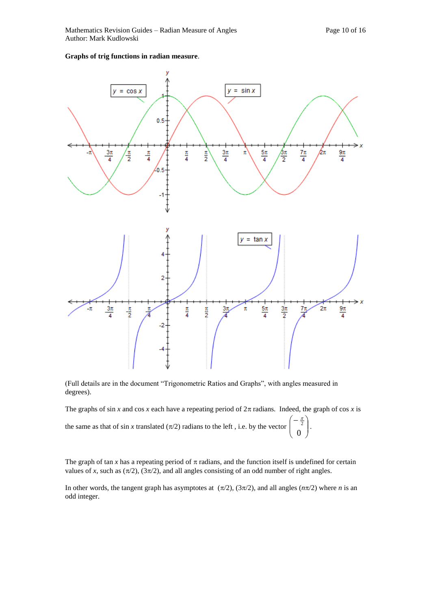# **Graphs of trig functions in radian measure**.



(Full details are in the document "Trigonometric Ratios and Graphs", with angles measured in degrees).

The graphs of sin *x* and cos *x* each have a repeating period of  $2\pi$  radians. Indeed, the graph of cos *x* is

 $\overline{\phantom{a}}$ J

the same as that of sin *x* translated  $(\pi/2)$  radians to the left, i.e. by the vector  $\left(-\frac{\pi}{2}\right)$  $\mathsf{I}$  $\mathsf{I}$  $\setminus$ 0  $\frac{\pi}{2}$ .

The graph of tan  $x$  has a repeating period of  $\pi$  radians, and the function itself is undefined for certain values of *x*, such as  $(\pi/2)$ ,  $(3\pi/2)$ , and all angles consisting of an odd number of right angles.

In other words, the tangent graph has asymptotes at  $(\pi/2)$ ,  $(3\pi/2)$ , and all angles  $(n\pi/2)$  where *n* is an odd integer.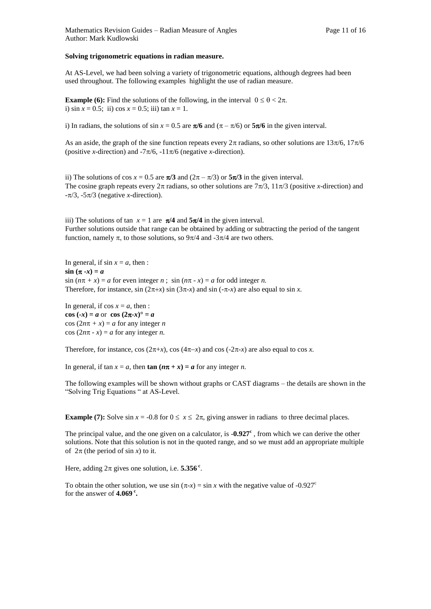#### **Solving trigonometric equations in radian measure.**

At AS-Level, we had been solving a variety of trigonometric equations, although degrees had been used throughout. The following examples highlight the use of radian measure.

**Example (6):** Find the solutions of the following, in the interval  $0 \le \theta < 2\pi$ . i)  $\sin x = 0.5$ ; ii)  $\cos x = 0.5$ ; iii)  $\tan x = 1$ .

i) In radians, the solutions of sin  $x = 0.5$  are  $\pi/6$  and  $(\pi - \pi/6)$  or  $5\pi/6$  in the given interval.

As an aside, the graph of the sine function repeats every  $2\pi$  radians, so other solutions are  $13\pi/6$ ,  $17\pi/6$ (positive *x*-direction) and  $-7\pi/6$ ,  $-11\pi/6$  (negative *x*-direction).

ii) The solutions of cos  $x = 0.5$  are  $\pi/3$  and  $(2\pi - \pi/3)$  or  $5\pi/3$  in the given interval. The cosine graph repeats every  $2\pi$  radians, so other solutions are  $7\pi/3$ ,  $11\pi/3$  (positive *x*-direction) and  $-\pi/3$ ,  $-5\pi/3$  (negative *x*-direction).

iii) The solutions of tan  $x = 1$  are  $\pi/4$  and  $5\pi/4$  in the given interval. Further solutions outside that range can be obtained by adding or subtracting the period of the tangent function, namely  $\pi$ , to those solutions, so  $9\pi/4$  and  $-3\pi/4$  are two others.

In general, if  $\sin x = a$ , then :  $\sin (\pi - x) = a$  $\sin (n\pi + x) = a$  for even integer *n*;  $\sin (n\pi - x) = a$  for odd integer *n*. Therefore, for instance,  $\sin(2\pi+x) \sin(3\pi-x)$  and  $\sin(-\pi-x)$  are also equal to  $\sin x$ .

In general, if  $\cos x = a$ , then : **cos**  $(-x) = a$  or **cos**  $(2\pi - x)^{\circ} = a$  $\cos(2n\pi + x) = a$  for any integer *n*  $\cos(2n\pi - x) = a$  for any integer *n*.

Therefore, for instance, cos ( $2\pi+x$ ), cos ( $4\pi-x$ ) and cos ( $-2\pi-x$ ) are also equal to cos *x*.

In general, if  $\tan x = a$ , then  $\tan (n\pi + x) = a$  for any integer *n*.

The following examples will be shown without graphs or CAST diagrams – the details are shown in the "Solving Trig Equations " at AS-Level.

**Example (7):** Solve  $\sin x = -0.8$  for  $0 \le x \le 2\pi$ , giving answer in radians to three decimal places.

The principal value, and the one given on a calculator, is  $-0.927^c$ , from which we can derive the other solutions. Note that this solution is not in the quoted range, and so we must add an appropriate multiple of  $2\pi$  (the period of sin *x*) to it.

Here, adding  $2\pi$  gives one solution, i.e.  $5.356$ <sup>c</sup>.

To obtain the other solution, we use  $\sin (\pi x) = \sin x$  with the negative value of -0.927<sup>c</sup> for the answer of **4.069 <sup>c</sup> .**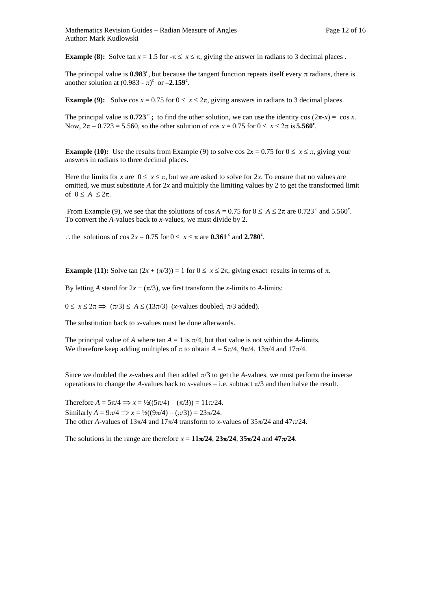**Example (8):** Solve tan  $x = 1.5$  for  $-\pi \le x \le \pi$ , giving the answer in radians to 3 decimal places.

The principal value is  $0.983^{\circ}$ , but because the tangent function repeats itself every  $\pi$  radians, there is another solution at  $(0.983 - \pi)^c$  or  $-2.159^c$ .

**Example (9):** Solve  $\cos x = 0.75$  for  $0 \le x \le 2\pi$ , giving answers in radians to 3 decimal places.

The principal value is  $0.723^{\circ}$ ; to find the other solution, we can use the identity cos  $(2\pi-x) = \cos x$ . Now,  $2\pi - 0.723 = 5.560$ , so the other solution of  $\cos x = 0.75$  for  $0 \le x \le 2\pi$  is **5.560<sup>c</sup>**.

**Example (10):** Use the results from Example (9) to solve cos  $2x = 0.75$  for  $0 \le x \le \pi$ , giving your answers in radians to three decimal places.

Here the limits for *x* are  $0 \le x \le \pi$ , but we are asked to solve for 2*x*. To ensure that no values are omitted, we must substitute *A* for 2*x* and multiply the limiting values by 2 to get the transformed limit of  $0 \leq A \leq 2\pi$ .

From Example (9), we see that the solutions of cos  $A = 0.75$  for  $0 \le A \le 2\pi$  are  $0.723^{\circ}$  and  $5.560^{\circ}$ . To convert the *A*-values back to *x-*values, we must divide by 2.

: the solutions of cos  $2x = 0.75$  for  $0 \le x \le \pi$  are  $0.361$  <sup>c</sup> and  $2.780$ <sup>c</sup>.

**Example** (11): Solve tan  $(2x + (\pi/3)) = 1$  for  $0 \le x \le 2\pi$ , giving exact results in terms of  $\pi$ .

By letting *A* stand for  $2x + (\pi/3)$ , we first transform the *x*-limits to *A*-limits:

 $0 \le x \le 2\pi \implies (\pi/3) \le A \le (13\pi/3)$  (*x*-values doubled,  $\pi/3$  added).

The substitution back to *x-*values must be done afterwards.

The principal value of *A* where tan  $A = 1$  is  $\pi/4$ , but that value is not within the *A*-limits. We therefore keep adding multiples of  $\pi$  to obtain  $A = 5\pi/4$ ,  $9\pi/4$ ,  $13\pi/4$  and  $17\pi/4$ .

Since we doubled the *x*-values and then added  $\pi/3$  to get the *A*-values, we must perform the inverse operations to change the *A*-values back to *x*-values – i.e. subtract  $\pi/3$  and then halve the result.

Therefore  $A = 5\pi/4 \implies x = \frac{1}{2}((5\pi/4) - (\pi/3)) = 11\pi/24$ . Similarly  $A = 9\pi/4 \implies x = \frac{1}{2}((9\pi/4) - (\pi/3)) = 23\pi/24$ . The other *A*-values of  $13\pi/4$  and  $17\pi/4$  transform to *x*-values of  $35\pi/24$  and  $47\pi/24$ .

The solutions in the range are therefore  $x = 11\pi/24$ ,  $23\pi/24$ ,  $35\pi/24$  and  $47\pi/24$ .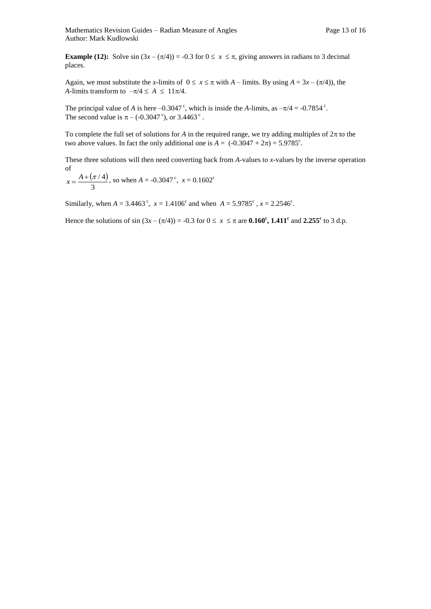**Example (12):** Solve sin  $(3x - (\pi/4)) = -0.3$  for  $0 \le x \le \pi$ , giving answers in radians to 3 decimal places.

Again, we must substitute the *x*-limits of  $0 \le x \le \pi$  with *A* – limits. By using *A* = 3*x* – ( $\pi$ /4)), the *A*-limits transform to  $-\pi/4 \le A \le 11\pi/4$ .

The principal value of *A* is here  $-0.3047$ <sup>c</sup>, which is inside the *A*-limits, as  $-\pi/4 = -0.7854$ <sup>c</sup>. The second value is  $\pi$  – (-0.3047<sup>c</sup>), or 3.4463<sup>c</sup>.

To complete the full set of solutions for *A* in the required range, we try adding multiples of  $2\pi$  to the two above values. In fact the only additional one is  $A = (-0.3047 + 2\pi) = 5.9785^{\circ}$ .

These three solutions will then need converting back from *A-*values to *x-*values by the inverse operation of i. ÷.

$$
x = \frac{A + (\pi / 4)}{3}
$$
, so when  $A = -0.3047^{\circ}$ ,  $x = 0.1602^{\circ}$ 

Similarly, when  $A = 3.4463^{\circ}$ ,  $x = 1.4106^{\circ}$  and when  $A = 5.9785^{\circ}$ ,  $x = 2.2546^{\circ}$ .

Hence the solutions of sin  $(3x - (\pi/4)) = -0.3$  for  $0 \le x \le \pi$  are **0.160<sup>c</sup>**, **1.411<sup>c</sup>** and **2.255<sup>c</sup>** to 3 d.p.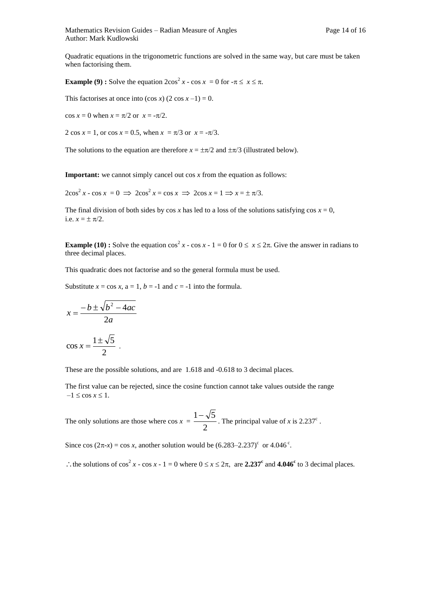Mathematics Revision Guides – Radian Measure of Angles Page 14 of 16 Author: Mark Kudlowski

Quadratic equations in the trigonometric functions are solved in the same way, but care must be taken when factorising them.

**Example (9) :** Solve the equation  $2\cos^2 x - \cos x = 0$  for  $-\pi \le x \le \pi$ .

This factorises at once into  $(\cos x)$   $(2 \cos x -1) = 0$ .

 $\cos x = 0$  when  $x = \pi/2$  or  $x = -\pi/2$ .

2 cos  $x = 1$ , or cos  $x = 0.5$ , when  $x = \pi/3$  or  $x = -\pi/3$ .

The solutions to the equation are therefore  $x = \pm \pi/2$  and  $\pm \pi/3$  (illustrated below).

**Important:** we cannot simply cancel out cos *x* from the equation as follows:

 $2\cos^2 x - \cos x = 0 \implies 2\cos^2 x = \cos x \implies 2\cos x = 1 \implies x = \pm \pi/3.$ 

The final division of both sides by cos x has led to a loss of the solutions satisfying  $\cos x = 0$ , i.e.  $x = \pm \pi/2$ .

**Example (10) :** Solve the equation  $\cos^2 x - \cos x - 1 = 0$  for  $0 \le x \le 2\pi$ . Give the answer in radians to three decimal places.

This quadratic does not factorise and so the general formula must be used.

Substitute  $x = \cos x$ ,  $a = 1$ ,  $b = -1$  and  $c = -1$  into the formula.

$$
x = \frac{-b \pm \sqrt{b^2 - 4ac}}{2a}
$$

$$
\cos x = \frac{1 \pm \sqrt{5}}{2}.
$$

These are the possible solutions, and are 1.618 and -0.618 to 3 decimal places.

The first value can be rejected, since the cosine function cannot take values outside the range  $-1 \leq \cos x \leq 1$ .

The only solutions are those where  $\cos x = \frac{1}{2}$  $\frac{1-\sqrt{5}}{2}$ . The principal value of *x* is 2.237<sup>c</sup>.

Since cos  $(2\pi-x) = \cos x$ , another solution would be  $(6.283-2.237)^c$  or  $4.046^c$ .

: the solutions of  $\cos^2 x - \cos x - 1 = 0$  where  $0 \le x \le 2\pi$ , are 2.237<sup>c</sup> and 4.046<sup>c</sup> to 3 decimal places.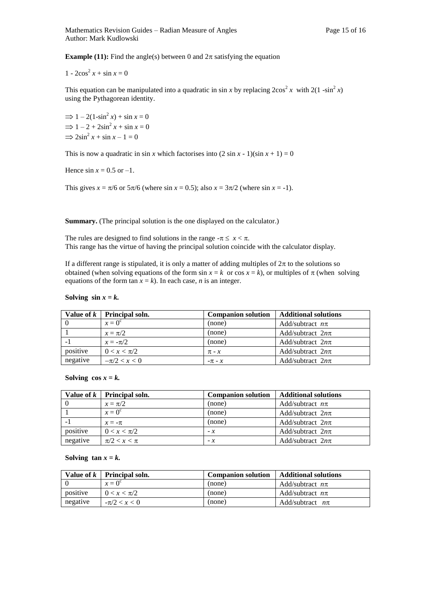**Example (11):** Find the angle(s) between 0 and  $2\pi$  satisfying the equation

 $1 - 2\cos^2 x + \sin x = 0$ 

This equation can be manipulated into a quadratic in sin *x* by replacing  $2\cos^2 x$  with  $2(1-\sin^2 x)$ using the Pythagorean identity.

 $\Rightarrow$  1 – 2(1-sin<sup>2</sup> *x*) + sin *x* = 0  $\Rightarrow$  1 – 2 + 2sin<sup>2</sup> x + sin x = 0  $\Rightarrow$  2sin<sup>2</sup> x + sin x - 1 = 0

This is now a quadratic in sin *x* which factorises into  $(2 \sin x - 1)(\sin x + 1) = 0$ 

Hence  $\sin x = 0.5$  or  $-1$ .

This gives  $x = \pi/6$  or  $5\pi/6$  (where sin  $x = 0.5$ ); also  $x = 3\pi/2$  (where sin  $x = -1$ ).

**Summary.** (The principal solution is the one displayed on the calculator.)

The rules are designed to find solutions in the range  $-\pi \leq x < \pi$ . This range has the virtue of having the principal solution coincide with the calculator display.

If a different range is stipulated, it is only a matter of adding multiples of  $2\pi$  to the solutions so obtained (when solving equations of the form  $\sin x = k$  or  $\cos x = k$ ), or multiples of  $\pi$  (when solving equations of the form  $\tan x = k$ ). In each case, *n* is an integer.

Solving  $\sin x = k$ .

|          | Value of $k$   Principal soln. | <b>Companion solution</b> | <b>Additional solutions</b> |
|----------|--------------------------------|---------------------------|-----------------------------|
|          | $x=0^{\circ}$                  | (none)                    | Add/subtract $n\pi$         |
|          | $x = \pi/2$                    | (none)                    | Add/subtract $2n\pi$        |
|          | $x = -\pi/2$                   | (none)                    | Add/subtract $2n\pi$        |
| positive | $0 < x < \pi/2$                | $\pi$ - $x$               | Add/subtract $2n\pi$        |
| negative | $-\pi/2 < x < 0$               | $-\pi$ - $x$              | Add/subtract $2n\pi$        |

Solving  $\cos x = k$ .

|          | Value of $k$   Principal soln. | <b>Companion solution</b> | <b>Additional solutions</b> |
|----------|--------------------------------|---------------------------|-----------------------------|
|          | $x = \pi/2$                    | (none)                    | Add/subtract $n\pi$         |
|          | $x=0^{\circ}$                  | (none)                    | Add/subtract $2n\pi$        |
|          | $x = -\pi$                     | (none)                    | Add/subtract $2n\pi$        |
| positive | $0 < x < \pi/2$                | $- x$                     | Add/subtract $2n\pi$        |
| negative | $\pi/2 < x < \pi$              | $- x$                     | Add/subtract $2n\pi$        |

Solving  $\tan x = k$ .

|          | Value of $k$   Principal soln. | <b>Companion solution</b> | <b>Additional solutions</b> |
|----------|--------------------------------|---------------------------|-----------------------------|
|          | $x=0^{\circ}$                  | (none)                    | Add/subtract $n\pi$         |
| positive | $0 < x < \pi/2$                | (none)                    | Add/subtract $n\pi$         |
| negative | $-\pi/2 < x < 0$               | (none)                    | Add/subtract $n\pi$         |